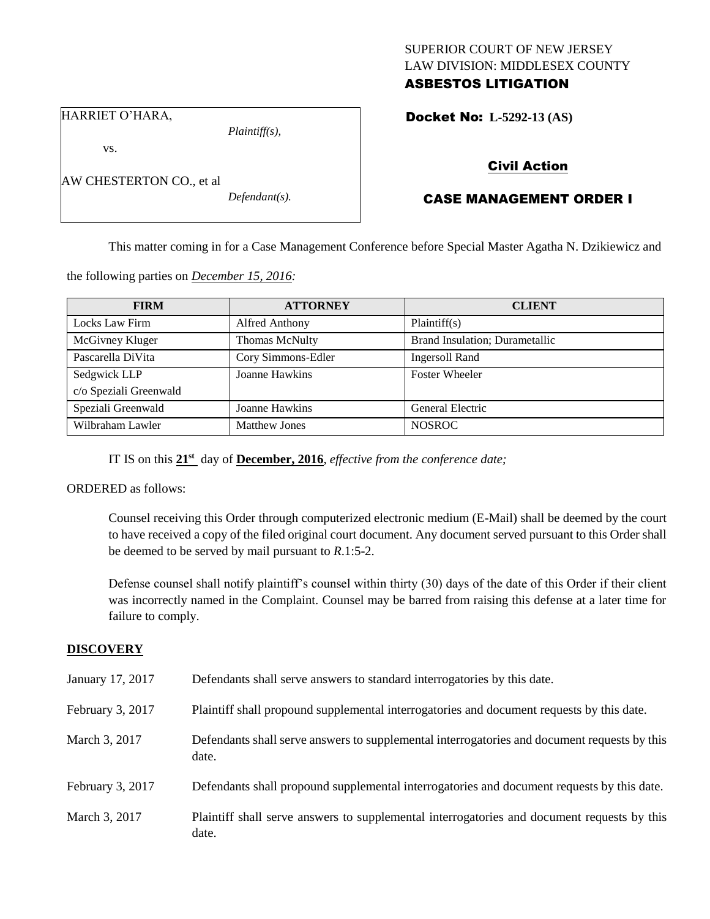## SUPERIOR COURT OF NEW JERSEY LAW DIVISION: MIDDLESEX COUNTY ASBESTOS LITIGATION

HARRIET O'HARA,

vs.

AW CHESTERTON CO., et al

*Defendant(s).*

*Plaintiff(s),*

Docket No: **L-5292-13 (AS)** 

# Civil Action

# CASE MANAGEMENT ORDER I

This matter coming in for a Case Management Conference before Special Master Agatha N. Dzikiewicz and

the following parties on *December 15, 2016:*

| <b>FIRM</b>            | <b>ATTORNEY</b>      | <b>CLIENT</b>                  |
|------------------------|----------------------|--------------------------------|
| Locks Law Firm         | Alfred Anthony       | Plaintiff(s)                   |
| McGivney Kluger        | Thomas McNulty       | Brand Insulation; Durametallic |
| Pascarella DiVita      | Cory Simmons-Edler   | <b>Ingersoll Rand</b>          |
| Sedgwick LLP           | Joanne Hawkins       | <b>Foster Wheeler</b>          |
| c/o Speziali Greenwald |                      |                                |
| Speziali Greenwald     | Joanne Hawkins       | General Electric               |
| Wilbraham Lawler       | <b>Matthew Jones</b> | <b>NOSROC</b>                  |

IT IS on this **21st** day of **December, 2016**, *effective from the conference date;*

ORDERED as follows:

Counsel receiving this Order through computerized electronic medium (E-Mail) shall be deemed by the court to have received a copy of the filed original court document. Any document served pursuant to this Order shall be deemed to be served by mail pursuant to *R*.1:5-2.

Defense counsel shall notify plaintiff's counsel within thirty (30) days of the date of this Order if their client was incorrectly named in the Complaint. Counsel may be barred from raising this defense at a later time for failure to comply.

## **DISCOVERY**

| January 17, 2017 | Defendants shall serve answers to standard interrogatories by this date.                              |
|------------------|-------------------------------------------------------------------------------------------------------|
| February 3, 2017 | Plaintiff shall propound supplemental interrogatories and document requests by this date.             |
| March 3, 2017    | Defendants shall serve answers to supplemental interrogatories and document requests by this<br>date. |
| February 3, 2017 | Defendants shall propound supplemental interrogatories and document requests by this date.            |
| March 3, 2017    | Plaintiff shall serve answers to supplemental interrogatories and document requests by this<br>date.  |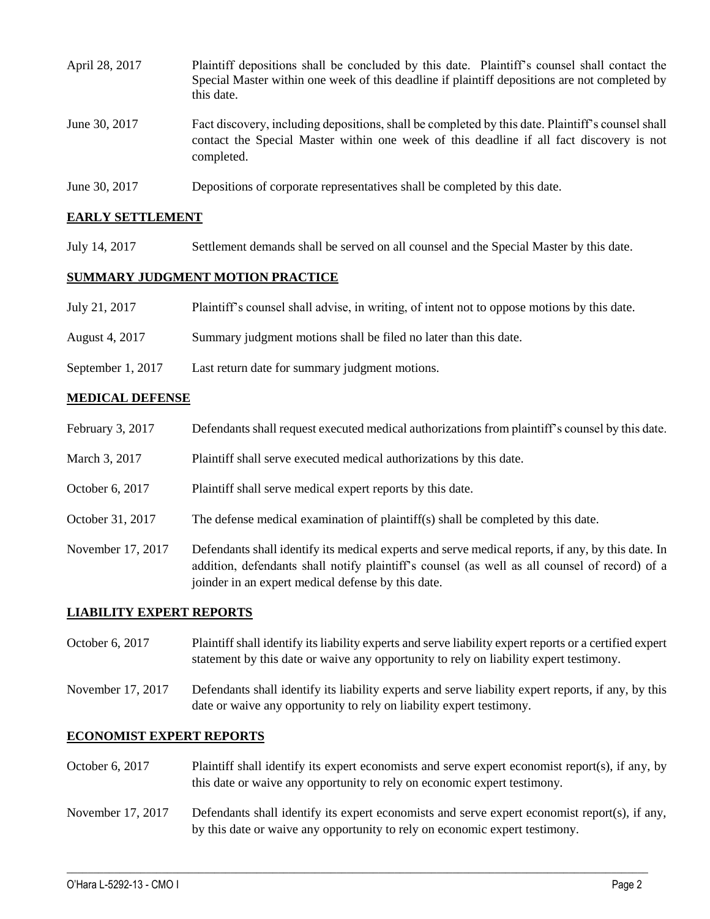| April 28, 2017 | Plaintiff depositions shall be concluded by this date. Plaintiff's counsel shall contact the<br>Special Master within one week of this deadline if plaintiff depositions are not completed by<br>this date. |
|----------------|-------------------------------------------------------------------------------------------------------------------------------------------------------------------------------------------------------------|
| June 30, 2017  | Fact discovery, including depositions, shall be completed by this date. Plaintiff's counsel shall<br>contact the Special Master within one week of this deadline if all fact discovery is not<br>completed. |
| June 30, 2017  | Depositions of corporate representatives shall be completed by this date.                                                                                                                                   |

## **EARLY SETTLEMENT**

July 14, 2017 Settlement demands shall be served on all counsel and the Special Master by this date.

### **SUMMARY JUDGMENT MOTION PRACTICE**

| July 21, 2017     | Plaintiff's counsel shall advise, in writing, of intent not to oppose motions by this date. |
|-------------------|---------------------------------------------------------------------------------------------|
| August 4, 2017    | Summary judgment motions shall be filed no later than this date.                            |
| September 1, 2017 | Last return date for summary judgment motions.                                              |

### **MEDICAL DEFENSE**

- February 3, 2017 Defendants shall request executed medical authorizations from plaintiff's counsel by this date.
- March 3, 2017 Plaintiff shall serve executed medical authorizations by this date.

October 6, 2017 Plaintiff shall serve medical expert reports by this date.

- October 31, 2017 The defense medical examination of plaintiff(s) shall be completed by this date.
- November 17, 2017 Defendants shall identify its medical experts and serve medical reports, if any, by this date. In addition, defendants shall notify plaintiff's counsel (as well as all counsel of record) of a joinder in an expert medical defense by this date.

## **LIABILITY EXPERT REPORTS**

- October 6, 2017 Plaintiff shall identify its liability experts and serve liability expert reports or a certified expert statement by this date or waive any opportunity to rely on liability expert testimony.
- November 17, 2017 Defendants shall identify its liability experts and serve liability expert reports, if any, by this date or waive any opportunity to rely on liability expert testimony.

#### **ECONOMIST EXPERT REPORTS**

- October 6, 2017 Plaintiff shall identify its expert economists and serve expert economist report(s), if any, by this date or waive any opportunity to rely on economic expert testimony.
- November 17, 2017 Defendants shall identify its expert economists and serve expert economist report(s), if any, by this date or waive any opportunity to rely on economic expert testimony.

 $\_$  ,  $\_$  ,  $\_$  ,  $\_$  ,  $\_$  ,  $\_$  ,  $\_$  ,  $\_$  ,  $\_$  ,  $\_$  ,  $\_$  ,  $\_$  ,  $\_$  ,  $\_$  ,  $\_$  ,  $\_$  ,  $\_$  ,  $\_$  ,  $\_$  ,  $\_$  ,  $\_$  ,  $\_$  ,  $\_$  ,  $\_$  ,  $\_$  ,  $\_$  ,  $\_$  ,  $\_$  ,  $\_$  ,  $\_$  ,  $\_$  ,  $\_$  ,  $\_$  ,  $\_$  ,  $\_$  ,  $\_$  ,  $\_$  ,